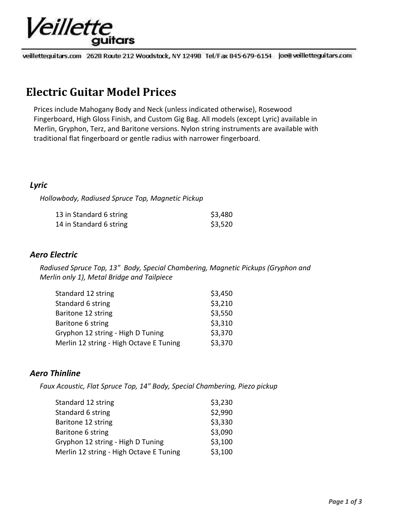# Veillette quitars

veilletteguitars.com 2628 Route 212 Woodstock, NY 12498 Tel/Fax 845-679-6154 joe@ veilletteguitars.com

# **Electric Guitar Model Prices**

Prices include Mahogany Body and Neck (unless indicated otherwise), Rosewood Fingerboard, High Gloss Finish, and Custom Gig Bag. All models (except Lyric) available in Merlin, Gryphon, Terz, and Baritone versions. Nylon string instruments are available with traditional flat fingerboard or gentle radius with narrower fingerboard.

## *Lyric*

*Hollowbody, Radiused Spruce Top, Magnetic Pickup*

| 13 in Standard 6 string | \$3,480 |
|-------------------------|---------|
| 14 in Standard 6 string | \$3,520 |

### *Aero Electric*

*Radiused Spruce Top, 13" Body, Special Chambering, Magnetic Pickups (Gryphon and Merlin only 1), Metal Bridge and Tailpiece*

| Standard 12 string                      | \$3,450 |
|-----------------------------------------|---------|
| Standard 6 string                       | \$3,210 |
| Baritone 12 string                      | \$3,550 |
| Baritone 6 string                       | \$3,310 |
| Gryphon 12 string - High D Tuning       | \$3,370 |
| Merlin 12 string - High Octave E Tuning | \$3,370 |

# *Aero Thinline*

*Faux Acoustic, Flat Spruce Top, 14" Body, Special Chambering, Piezo pickup*

| Standard 12 string                      | \$3,230 |
|-----------------------------------------|---------|
| Standard 6 string                       | \$2,990 |
| Baritone 12 string                      | \$3,330 |
| Baritone 6 string                       | \$3,090 |
| Gryphon 12 string - High D Tuning       | \$3,100 |
| Merlin 12 string - High Octave E Tuning | \$3,100 |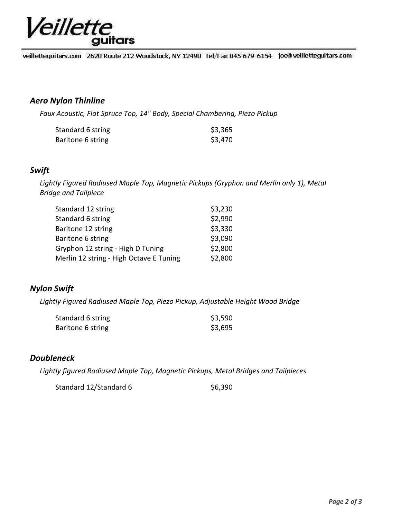

veillettequitars.com 2628 Route 212 Woodstock, NY 12498 Tel/Fax 845-679-6154 joe@veilletteguitars.com

#### *Aero Nylon Thinline*

*Faux Acoustic, Flat Spruce Top, 14" Body, Special Chambering, Piezo Pickup*

| Standard 6 string | \$3,365 |
|-------------------|---------|
| Baritone 6 string | \$3,470 |

#### *Swift*

*Lightly Figured Radiused Maple Top, Magnetic Pickups (Gryphon and Merlin only 1), Metal Bridge and Tailpiece*

| Standard 12 string                      | \$3,230 |
|-----------------------------------------|---------|
| Standard 6 string                       | \$2,990 |
| Baritone 12 string                      | \$3,330 |
| Baritone 6 string                       | \$3,090 |
| Gryphon 12 string - High D Tuning       | \$2,800 |
| Merlin 12 string - High Octave E Tuning | \$2,800 |

### *Nylon Swift*

*Lightly Figured Radiused Maple Top, Piezo Pickup, Adjustable Height Wood Bridge*

| Standard 6 string | \$3,590 |
|-------------------|---------|
| Baritone 6 string | \$3,695 |

#### *Doubleneck*

*Lightly figured Radiused Maple Top, Magnetic Pickups, Metal Bridges and Tailpieces*

Standard 12/Standard 6 \$6,390